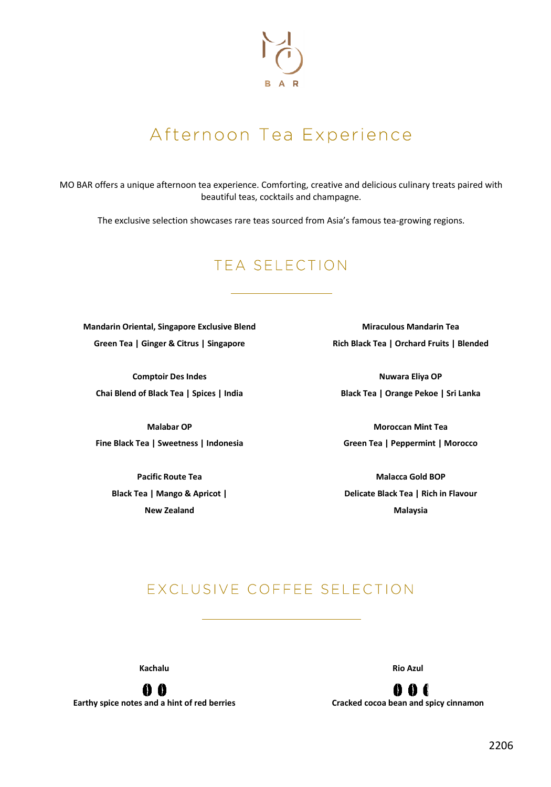

## Afternoon Tea Experience

MO BAR offers a unique afternoon tea experience. Comforting, creative and delicious culinary treats paired with beautiful teas, cocktails and champagne.

The exclusive selection showcases rare teas sourced from Asia's famous tea-growing regions.

### TEA SELECTION

**Mandarin Oriental, Singapore Exclusive Blend Green Tea | Ginger & Citrus | Singapore**

**Comptoir Des Indes Chai Blend of Black Tea | Spices | India**

**Malabar OP Fine Black Tea | Sweetness | Indonesia**

> **Pacific Route Tea Black Tea | Mango & Apricot | New Zealand**

**Miraculous Mandarin Tea Rich Black Tea | Orchard Fruits | Blended**

**Nuwara Eliya OP Black Tea | Orange Pekoe | Sri Lanka**

**Moroccan Mint Tea Green Tea | Peppermint | Morocco**

**Malacca Gold BOP Delicate Black Tea | Rich in Flavour Malaysia**

## EXCLUSIVE COFFEE SELECTION

**Kachalu**



00C **Cracked cocoa bean and spicy cinnamon**

**Rio Azul**

2206